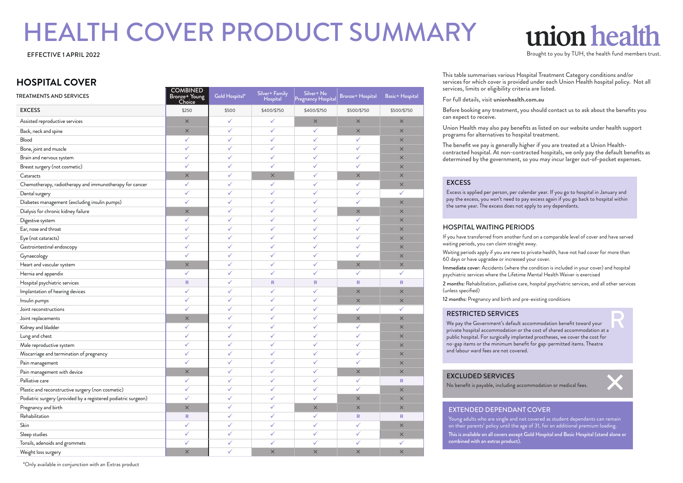# HEALTH COVER PRODUCT SUMMARY

# **HOSPITAL COVER**

| <b>TREATMENTS AND SERVICES</b>                                 | COMBINED<br>Bronze+ Young<br>Choice | Gold Hospital* | Silver+ Family<br><b>Hospital</b> | Silver+ No<br>Pregnancy Hospital | <b>Bronze+ Hospital</b> | Basic+ Hospital |
|----------------------------------------------------------------|-------------------------------------|----------------|-----------------------------------|----------------------------------|-------------------------|-----------------|
| <b>EXCESS</b>                                                  | \$250                               | \$500          | \$400/\$750                       | \$400/\$750                      | \$500/\$750             | \$500/\$750     |
| Assisted reproductive services                                 | $\times$                            | ✓              | ✓                                 | $\times$                         | $\times$                | $\times$        |
| Back, neck and spine                                           | $\times$                            | ✓              | $\checkmark$                      | ✓                                | $\times$                | $\times$        |
| Blood                                                          | ✓                                   | ✓              | ✓                                 | ✓                                | ✓                       | $\times$        |
| Bone, joint and muscle                                         | ✓                                   | ✓              | ✓                                 | ✓                                | ✓                       | $\times$        |
| Brain and nervous system                                       | ✓                                   | ✓              | ✓                                 | ✓                                | ✓                       | $\times$        |
| Breast surgery (not cosmetic)                                  | ✓                                   | ✓              | $\checkmark$                      | $\checkmark$                     | ✓                       | $\times$        |
| Cataracts                                                      | $\times$                            | ✓              | $\times$                          | ✓                                | $\times$                | $\times$        |
| Chemotherapy, radiotherapy and immunotherapy for cancer        | ✓                                   | ✓              | $\checkmark$                      | ✓                                | ✓                       | $\times$        |
| Dental surgery                                                 | ✓                                   | ✓              | ✓                                 | ✓                                | ✓                       | ✓               |
| Diabetes management (excluding insulin pumps)                  | ✓                                   | ✓              | ✓                                 | ✓                                | ✓                       | $\times$        |
| Dialysis for chronic kidney failure                            | $\times$                            | $\checkmark$   | ✓                                 | ✓                                | $\times$                | $\times$        |
| Digestive system                                               | ✓                                   | ✓              | ✓                                 | ✓                                | ✓                       | $\times$        |
| Ear, nose and throat                                           | ✓                                   | ✓              | ✓                                 | ✓                                | ✓                       | $\times$        |
| Eye (not cataracts)                                            | ✓                                   | ✓              | ✓                                 | ✓                                | ✓                       | $\times$        |
| Gastrointestinal endoscopy                                     | ✓                                   | ✓              | ✓                                 | ✓                                | ✓                       | $\times$        |
| Gynaecology                                                    | ✓                                   | ✓              | ✓                                 | ✓                                | ✓                       | $\times$        |
| Heart and vascular system                                      | $\times$                            | ✓              | ✓                                 | ✓                                | $\times$                | $\times$        |
| Hernia and appendix                                            | ✓                                   | ✓              | ✓                                 | ✓                                | ✓                       | ✓               |
| Hospital psychiatric services                                  | R                                   | ✓              | $\mathsf{R}$                      | $\mathsf{R}$                     | ${\sf R}$               | $\mathsf{R}$    |
| Implantation of hearing devices                                | ✓                                   | ✓              | ✓                                 | ✓                                | $\times$                | $\times$        |
| Insulin pumps                                                  | ✓                                   | ✓              | ✓                                 | ✓                                | $\times$                | $\times$        |
| Joint reconstructions                                          | ✓                                   | ✓              | ✓                                 | ✓                                | ✓                       | ✓               |
| Joint replacements                                             | $\times$                            | ✓              | ✓                                 | ✓                                | $\times$                | $\times$        |
| Kidney and bladder                                             | ✓                                   | ✓              | $\checkmark$                      | $\checkmark$                     | ✓                       | $\times$        |
| Lung and chest                                                 | ✓                                   | ✓              | ✓                                 | ✓                                | ✓                       | $\times$        |
| Male reproductive system                                       | ✓                                   | ✓              | ✓                                 | ✓                                | ✓                       | $\times$        |
| Miscarriage and termination of pregnancy                       | ✓                                   | ✓              | ✓                                 | ✓                                | ✓                       | $\times$        |
| Pain management                                                | ✓                                   | ✓              | ✓                                 | ✓                                | ✓                       | $\times$        |
| Pain management with device                                    | $\times$                            | ✓              | ✓                                 | ✓                                | $\times$                | $\times$        |
| Palliative care                                                | ✓                                   | ✓              | ✓                                 | ✓                                | ✓                       | R               |
| Plastic and reconstructive surgery (non cosmetic)              | ✓                                   | ✓              | ✓                                 | ✓                                | ✓                       | $\times$        |
| Podiatric surgery (provided by a registered podiatric surgeon) | $\hat{\checkmark}$                  | ✓              | ✓                                 | ✓                                | $\times$                | $\times$        |
| Pregnancy and birth                                            | $\times$                            | ✓              | ✓                                 | $\times$                         | $\times$                | $\times$        |
| Rehabilitation                                                 | R                                   | ✓              | ✓                                 | ✓                                | R                       | R               |
| Skin                                                           | $\checkmark$                        | ✓              | ✓                                 | ✓                                | ✓                       | $\times$        |
| Sleep studies                                                  | ✓                                   | ✓              | ✓                                 | ✓                                | ✓                       | $\times$        |
| Tonsils, adenoids and grommets                                 | $\checkmark$                        | ✓              | $\checkmark$                      | $\checkmark$                     | ✓                       | ✓               |
| Weight loss surgery                                            | $\times$                            | ✓              | $\times$                          | $\times$                         | $\times$                | $\times$        |

# union heal

EFFECTIVE 1 APRIL 2022 Structure 1 and the health fund members trust.

This table summarises various Hospital Treatment Category conditions and/or services for which cover is provided under each Union Health hospital policy. Not all services, limits or eligibility criteria are listed.

For full details, visit **unionhealth.com.au**

Before booking any treatment, you should contact us to ask about the benefits you can expect to receive.

Union Health may also pay benefits as listed on our website under health support programs for alternatives to hospital treatment.

The benefit we pay is generally higher if you are treated at a Union Healthcontracted hospital. At non-contracted hospitals, we only pay the default benefits as determined by the government, so you may incur larger out-of-pocket expenses.

# EXCESS

Excess is applied per person, per calendar year. If you go to hospital in January and pay the excess, you won't need to pay excess again if you go back to hospital within the same year. The excess does not apply to any dependants.

# HOSPITAL WAITING PERIODS

If you have transferred from another fund on a comparable level of cover and have served waiting periods, you can claim straight away.

Waiting periods apply if you are new to private health, have not had cover for more than 60 days or have upgradee or increased your cover.

Immediate cover: Accidents (where the condition is included in your cover) and hospital psychiatric services where the Lifetime Mental Health Waiver is exercised

2 months: Rehabilitation, palliative care, hospital psychiatric services, and all other services (unless specified)

12 months: Pregnancy and birth and pre-existing conditions

### RESTRICTED SERVICES

We pay the Government's default accommodation benefit toward your private hospital accommodation or the cost of shared accommodation at a public hospital. For surgically implanted prostheses, we cover the cost for no-gap items or the minimum benefit for gap-permitted items. Theatre and labour ward fees are not covered. R

# EXCLUDED SERVICES

No benefit is payable, including accommodation or medical fees.

# EXTENDED DEPENDANT COVER

Young adults who are single and not covered as student dependants can remain on their parents' policy until the age of 31, for an additional premium loading. This is available on all covers except Gold Hospital and Basic Hospital (stand alone or combined with an extras product).

\*Only available in conjunction with an Extras product